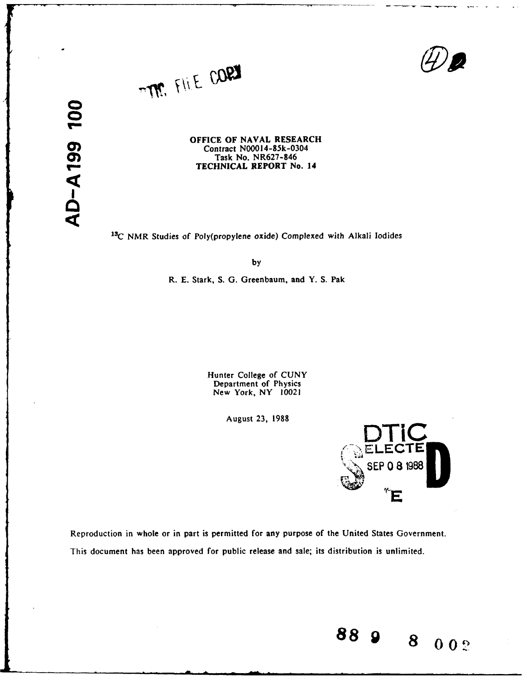



**OFFICE** OF **NAVAL** RESEARCH Contract **N00014-85k-0304** Task No. NR627-846 TECHNICAL REPORT No. 14

**1 3C** NMR Studies of Poly(propylene oxide) Complexed with Alkali Iodides

**by**

R. **E.** Stark, **S. G.** Greenbaum, and Y. **S.** Pak

Hunter College of **CUNY** Department of Physics New York, NY 10021

August **23, 1988**



**88 8 00'**

8

 $002$ 

Reproduction in whole or in part is permitted for any purpose of the United States Government. This document has been approved for public release and sale; its distribution is unlimited.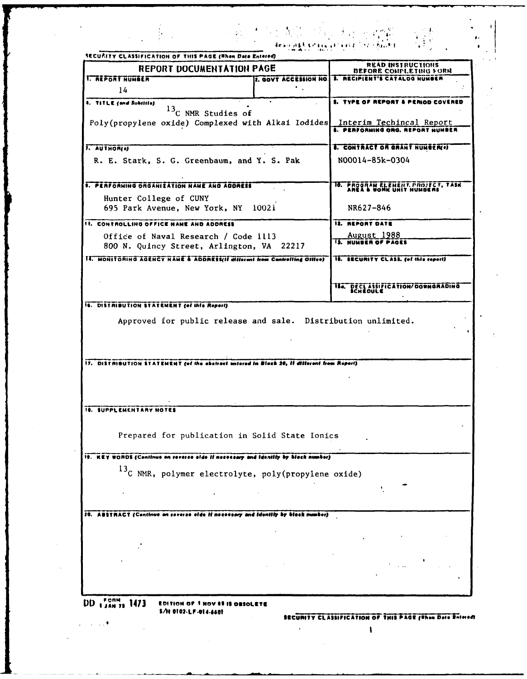| <b>REPORT DOCUMENTATION PAGE</b>                                                           | READ INSTRUCTIONS                                                     |
|--------------------------------------------------------------------------------------------|-----------------------------------------------------------------------|
| <b>I. REPORT NUMBER</b><br><b>2. GOVT ACCESSION NO.</b>                                    | <b>DEFORE CONPLETING FORM</b><br><b>3. RECIPIENT'S CATALOG NUMBER</b> |
| 14                                                                                         |                                                                       |
| 4. TITLE (and Subritte)<br>$13C$ NMR Studies of                                            | <b>5. TYPE OF REPORT &amp; PERIOD COVERED</b>                         |
| Poly(propylene oxide) Complexed with Alkai Iodides Interim Techincal Report                |                                                                       |
|                                                                                            | <b>6. PERFORMING ORG. REPORT MUNDER</b>                               |
| 1. AUTHOR(e)                                                                               | <b>6. CONTRACT OR GRANT NUMBER(0)</b>                                 |
| R. E. Stark, S. G. Greenbaum, and Y. S. Pak                                                | N00014-85k-0304                                                       |
| <b>1. PERFORMING ORGANIZATION NAME AND ADDRESS</b>                                         | 18. PROGRAM ELEMENT PROJECT, TASK ANEA & WORK UNIT NUMBERS            |
| Hunter College of CUNY                                                                     |                                                                       |
| 695 Park Avenue, New York, NY 10021                                                        | NR627-846                                                             |
| II. CONTROLLING OFFICE NAME AND ADDRESS                                                    | <b>12. REPORT DATE</b>                                                |
| Office of Naval Research / Code 1113<br>800 N. Quincy Street, Arlington, VA 22217          | August 1988<br><b>13. NUMBER OF PAGES</b>                             |
| II. HONITORING AGENCY NAME & ADDRESS(II different from Controlling Office)                 | 18. SECURITY CLASS. (of this report)                                  |
|                                                                                            | <b>184. DECLASSIFICATION/DOWNGRADING</b>                              |
| 16. DISTRIBUTION STATEMENT (of this Report)                                                |                                                                       |
|                                                                                            |                                                                       |
| Approved for public release and sale. Distribution unlimited.                              |                                                                       |
|                                                                                            |                                                                       |
| 17. DISTRIBUTION STATEMENT (of the abatract entered in Black 20, if different from Report) |                                                                       |
|                                                                                            |                                                                       |
|                                                                                            |                                                                       |
| <b>18. SUPPLEMENTARY NOTES</b>                                                             |                                                                       |
|                                                                                            |                                                                       |
| Prepared for publication in Solid State Ionics                                             |                                                                       |
| 19. KEY WORDS (Continue on reverse eide if necessary and identify by block number)         |                                                                       |
| <sup>13</sup> C NMR, polymer electrolyte, poly(propylene oxide)                            |                                                                       |
|                                                                                            |                                                                       |
|                                                                                            |                                                                       |
| 20. ABSTRACT (Continue on reverse elde if necessary and identify by block number)          |                                                                       |
|                                                                                            |                                                                       |
|                                                                                            |                                                                       |
|                                                                                            |                                                                       |
|                                                                                            |                                                                       |
|                                                                                            |                                                                       |
| DD 13AM 23 1473<br>EDITION OF THOV 88 IS OBSOLETE                                          |                                                                       |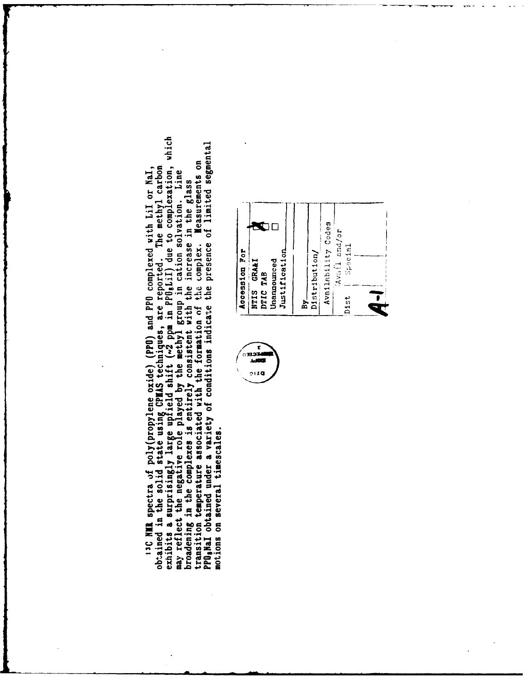exhibits a surprisingly large upfield shift (~2 ppm in PPO,LiI) due to complexation, which PPO, NaI obtained under a variety of conditions indicate the presence of limited segmental may reflect the negative role played by the methyl group in cation solvation. Line<br>broadening in the complexes is entirely consistent with the increase in the glass<br>transition temperature associated with the formation of t 13C NMR spectra of poly(propylene oxide) (PPO) and PPO complexed with LiI or NaI,<br>obtained in the solid state using CPMAS techniques, are reported. The methyl carbon motions on several timescales.



 $\mathbf{r}$ الكور<del>.</del><br>1983ء  $2119$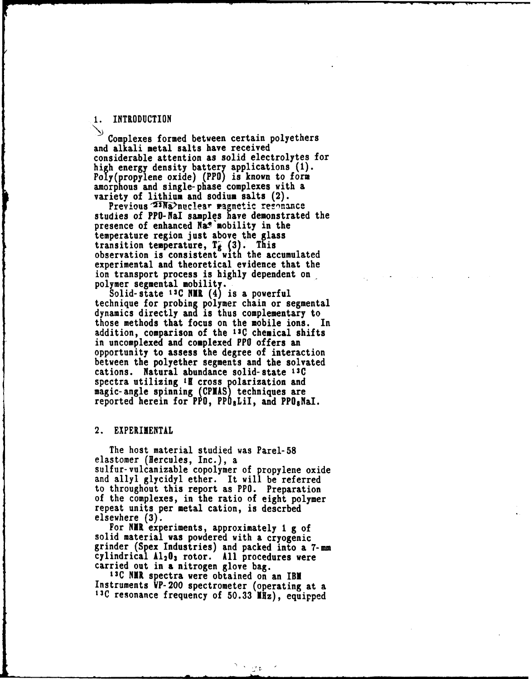### **1.** INTRODUCTION

Complexes formed between certain polyethers and alkali metal salts have received considerable attention as solid electrolytes for high energy density battery applications **(1).** Poly(propylene oxide) (PPO) is known to form amorphous and single-phase complexes with a variety of lithium and sodium salts (2).

Previous 23Na>nuclear magnetic resonance studies of PPO-NaI samples have demonstrated the presence of enhanced Na<sup>s</sup> mobility in the temperature region just above the glass transition temperature,  $T_k$  (3). This observation is consistent with the accumulated experimental and theoretical evidence that the ion transport process is **highly** dependent on polymer segmental mobility.

Solid-state t3C **NiR (4)** is a powerful technique for probing polymer chain or segmental dynamics directly **and** is thus complementary to those methods that focus on the mobile ions. In addition, comparison of the **13C** chemical shifts in uncomplexed and complexed PPO offers an opportunity to assess the degree of interaction between the polyether segments and the solvated cations. Natural abundance solid-state **13C** spectra utilizing <sup>1</sup>E cross polarization and magic-angle spinning **(CPIAS)** techniques are reported herein for PPO, **PPO** sLiI, and PPOaNaI.

# 2. EXPERIMENTAL

The host material studied was Parel-58 elastomer (Hercules, Inc.), a sulfur-vulcanizable copolymer of propylene oxide and allyl glycidyl ether. It will be referred to throughout this report as PPO. Preparation of the complexes, in the ratio of eight polymer repeat units per metal cation, is descrbed elsewhere **(3).**

For **NiR** experiments, approximately **1 g of** solid material was powdered with a cryogenic grinder (Spex Industries) and packed into a  $7-$ mm cylindrical **A12 03** rotor. **All** procedures were carried out in a nitrogen glove bag.

13C NMR spectra were obtained on an IBM Instruments VP-200 spectrometer (operating at a <sup>13C</sup> resonance frequency of 50.33 MHz), equipped

್ತಿತ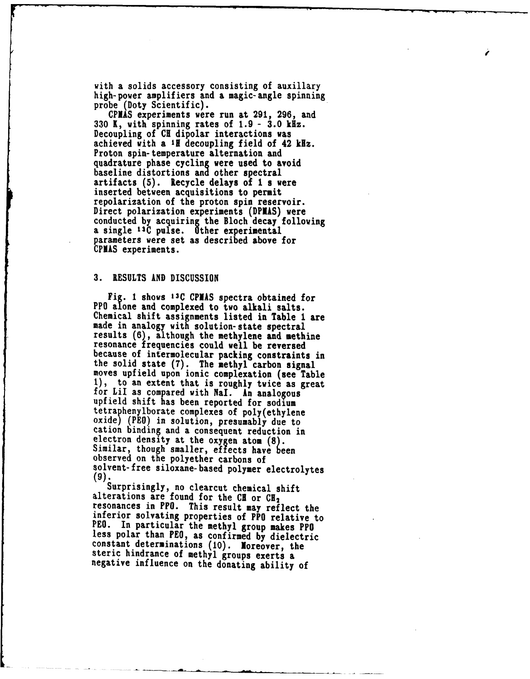with a solids accessory consisting of auxillary high-power amplifiers and a magic-angle spinning probe (Doty Scientific).

**CPNAS** experiments were run at 291, **296,** and **330** K, with spinning rates of **1.9 - 3.0** kHz. Decoupling of **CH** dipolar interactions was achieved with a **If** decoupling field of 42 kHz. Proton spin-temperature alternation and quadrature phase cycling were used to avoid baseline distortions and other spectral artifacts **(5).** Recycle delays of **1** s were inserted between acquisitions to permit repolarization of the proton spin reservoir. Direct polarization experiments **(DPIAS)** were conducted **by** acquiring the Bloch decay following a single **13C** pulse. Other experimental parameters were set as described above for **CPIAS** experiments.

### **3. RESULTS AND** DISCUSSION

Fig. **1 shows 13C** CPIAS spectra obtained for PPO alone and complexed to two alkali salts. Chemical shift assignments listed in Table **1** are made in analogy with solution-state spectral results (6), although the methylene and methine resonance frequencies could well be reversed because of intermolecular packing constraints in the solid state **(7).** The methyl carbon signal moves upfield upon ionic complexation (see Table **1),** to an extent that is roughly twice as great for LiI as compared with NaI. An analogous upfield shift has been reported for sodium tetraphenylborate complexes of poly(ethylene oxide) (PEO) in solution, presumably due to cation binding and a consequent reduction in electron density at the oxygen atom **(8).** Similar, though smaller, effects have **been** observed on the polyether carbons of solvent-free siloxane-based polymer electrolytes (9).

Surprisingly, no clearcut chemical shift alterations are found for the CH or CH<sub>2</sub> resonances in PPO. This result may reflect the inferior solvating properties of PPO relative to PEO. In particular the methyl group makes PPO less polar than PEO, as confirmed **by** dielectric constant determinations **(10).** Noreover, the steric hindrance of methyl groups exerts a negative influence on the donating ability of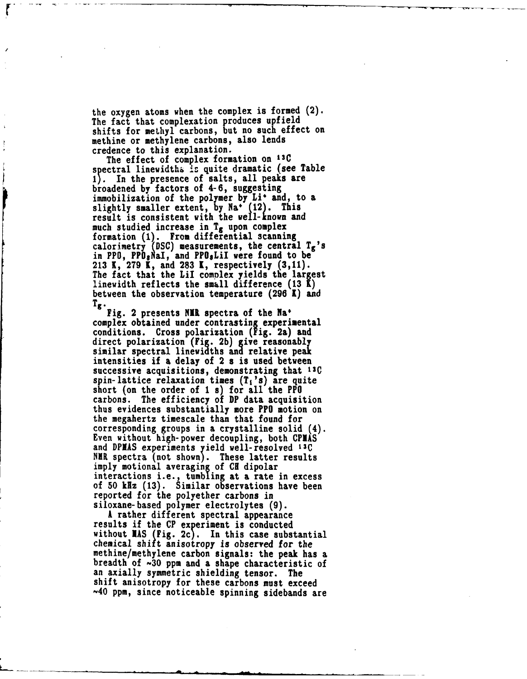the oxygen atoms when the complex is formed (2). The fact that complexation produces upfield shifts for methyl carbons, but no such effect on methine or methylene carbons, also lends credence to this explanation.

The effect of complex formation on **13C** spectral linewidths is quite dramatic (see Table **1).** In the presence **of** salts, all peaks are broadened **by** factors of 4-6, suggesting immobilization of the polymer **by** Li' and, to a slightly smaller extent, **by** Na\* (12). This result is consistent with the well-known and much studied increase in **Tg** upon complex formation **(1).** From differential scanning calorimetry **(DSC)** measurements, the central **Tg's** in PPO, PPO<sub>s</sub>NaI, and PPO<sub>s</sub>LiI were found to be **213 K, 279** K, and **283 1,** respectively **(3,11).** The fact that the LiI complex yields the largest linewidth reflects the small difference **(13 K)** between the observation temperature (296 K) and **Tg** Fig. 2 presents **NIl** spectra of the **Na'**

complex obtained under contrasting experimental conditions. Cross polarization **(Fig.** 2a) and direct polarization **(Fig. 2b)** give reasonably similar spectral linewidths **and** relative peak intensities if a delay of 2 s is used between successive acquisitions, demonstrating that **13C** spin-lattice relaxation times  $(T_1's)$  are quite short (on the order of **1** s) for all the PPO carbons. The efficiency of DP data acquisition thus evidences substantially more PPO motion on the megahertz timescale than that found for corresponding groups in a crystalline solid (4). Even without high-power decoupling, both **CPVAS** and **DPIAS** experiments yield well-resolved **13C** NUR spectra (not shown). These latter results **imply** motional averaging of **CK** dipolar interactions i.e., tumbling at a rate in excess of **50 kHz (13).** Similar observations have been reported for the polyether carbons in siloxane-based polymer electrolytes **(9).**

A rather different spectral appearance results if the **CP** experiment is conducted without **RAS** (Fig. **2c).** In this case substantial chemical shift anisotropy is observed for the methine/methylene carbon signals: the peak has a breadth of **-30** ppm and a shape characteristic of an axially symmetric shielding tensor. The shift anisotropy for these carbons must exceed **-40** ppm, since noticeable spinning sidebands are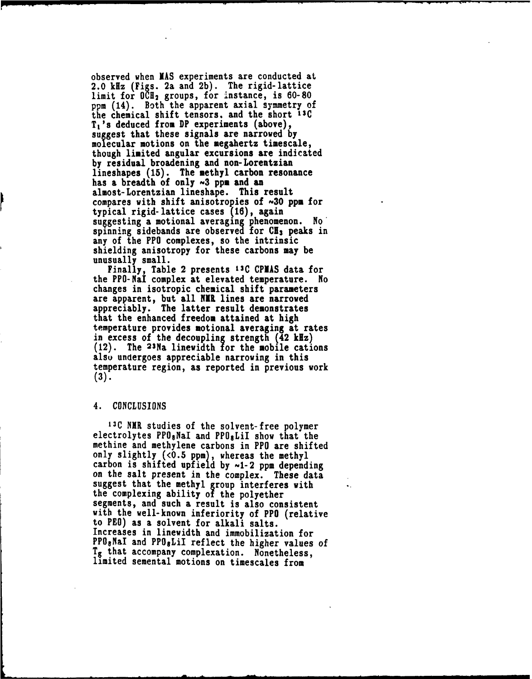observed when **NAS** experiments are conducted at 2.0 klz (Figs. 2a and **2b).** The rigid-lattice limit for **OCH2** groups, for instance, is **60-80** ppm (14). Both the apparent axial symmetry of the chemical shift tensors, and the short **13C**  $T_1$ 's deduced from DP experiments (above), suggest that these signals are narrowed **by** molecular motions on the megahertz timescale, though limited angular excursions are indicated **by** residual broadening and non-Lorentzian lineshapes **(15).** The methyl carbon resonance has a breadth of only **-3 ppm** and an almost-Lorentzian lineshape. This result compares with shift anisotropies of **30** ppm for typical rigid-lattice cases **(16),** again supgesting a motional averaging phenomenon. No' spinning sidebands are observed for **C13** peaks in any of the PPO complexes, so the intrinsic shielding anisotropy for these carbons may be unusually small.

Finally, Table 2 presents **13C CPNAS** data for the PPO-NaI complex at elevated temperature. No changes in isotropic chemical shift parameters are apparent, but all **NIR** lines are narrowed appreciably. The latter result demonstrates that the enhanced freedom attained at high temperature provides motional averaging at rates in excess of the decoupling strength  $(42 \text{ kHz})$ (12). The 23Na linewidth for the mobile cations also undergoes appreciable narrowing in this temperature region, as reported in previous work **(3).**

#### 4. **CONCLUSIONS**

**13C** NIR studies of the solvent-free polymer electrolytes PPO<sub>8</sub>NaI and PPO<sub>8</sub>LiI show that the methine and methylene carbons in PPO are shifted only slightly (<0.5 ppm), whereas the methyl carbon is shifted upfield by  $\sim$ 1-2 ppm depending on the salt present in the complex. These data suggest that the methyl group interferes with the complexing ability of the polyether segments, and such a result is also consistent with the well-known inferiority of PPO (relative to PEO) as a solvent for alkali salts. Increases in linewidth and immobilization for PPO<sub>8</sub>NaI and PPO<sub>8</sub>LiI reflect the higher values of T<sub>g</sub> that accompany complexation. Nonetheless, limited semental motions on timescales from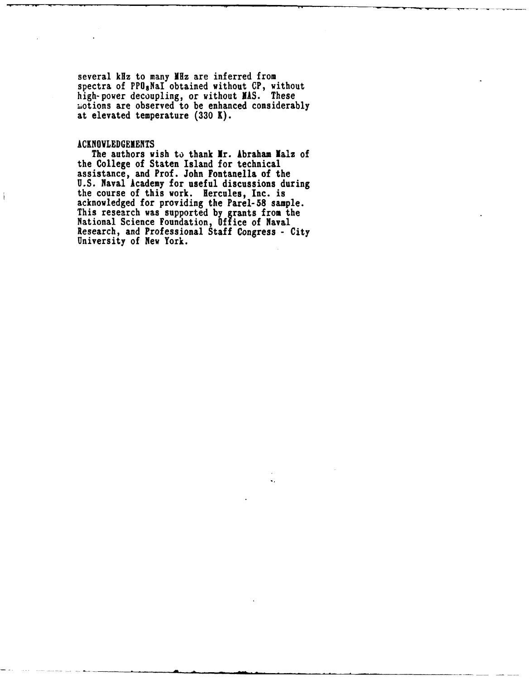several kHz to many MHz are inferred from spectra of PPOgNaI obtained without **CP,** without high-power decoupling, or without **NAS.** These Liotions are observed to be enhanced considerably at elevated temperature **(330 K).**

# **ACKNOWLEDGEMENTS**

The authors wish to thank Mr. Abraham Malz of the College of Staten Island for technical assistance, and Prof. John Fontanella of the U.S. Naval Academy for useful discussions during the course of this work. Hercules, Inc. is acknowledged for providing the Parel-58 sample. This research was supported by grants from the National Science Foundation, Office of Naval Research, and Professional Staff Congress - City University of New York.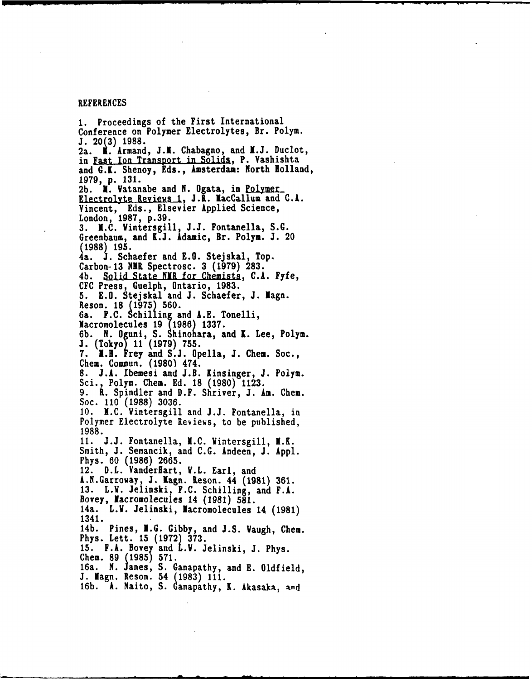#### REFERENCES

**1.** Proceedings of the First International Conference on Polymer Electrolytes, Br. Polym. **J. 20(3)11988.** Ka. **.** Armand, **J.1.** Chabagno, and **N.J.** Duclot, in Fast Ion Transport in Solids, P. Vashishta and G.K. Shenoy, Eds., Amsterdam: North Holland, **1979, p. 131.** 2b. **N. Vatanabe and N. Ogata, in Polymer** Electrolyte Reviews 1, J.N. NacCallum and C.A. Vincent, Eds., Elsevier Applied Science, London, **1987, p.39. 3. N.C.** Vintersgill, **J.J.** Fontanella, **S.G.** Greenbaumi, and **K.J.** Adamic, Br. Polym. **J.** 20 **(1988) 195.** 4a. **J.** Schaefer and **E.G.** Stejslcal, Top. Carbon- 13 NMR Spectrosc. 3 (1979) 283. 4b. Solid State NMR for Chemists, C.A. Fyfe, **CFC** Press, Guelph, Ontario, **1983. 5. E.O.** Stejskal and **J.** Schaefer, **J.** Nagn. Reson. **18 (1975) 560.** 6a. **F.C. Schilling and A.E. Tonelli,**<br>Macromolecules 19 (1986) 1337. **6b. N.** Oguni, **S.** Shinohara, and **1.** Lee, Polyn. .1 (Tokyo) **1(979) 755. 7. 1.H.** Frey and **S.J.** Opella, **J.** Cihem. Soc., Chem. Commun. (1980) 474. 8. J.A. Ibemesi and J.B. Kinsinger, J. Polym. Sci., Polym. Chem. Ed. 18 (1980) 1123. **9.** RL. Spindler and D.F. Shriver, **J.** *Am.* Chem. Soc. **110 (1988) 3036. 10. N.C.** Vintersgill and **J.J.** Fontanella, in Polymer Electrolyte Reviews, to be published, **1988. 11. J..J.** Fontanella, **N.C.** Vintersgill, N.K. Smith, **J.** Semancik, and **C.G.** Andeen, **J. Appi.** Phys. **60 (1986) 2665.** 12. D.L. VanderHart, V.L. Earl, and A.N.Garroway, **J.** Nagn. IReson. 44 **(1981) 361. 13.** L.V. Jelinski, **F.C.** Schilling, and F.A. Bovey, Nacromolecules 14 **(1981) 581.** 14a. L.V. Jelinski, lacromolecules 14 **(1981)** 1341. 14b. Pines, **N.G. Gibby,** and **J.S.** Waugh, Chem. Phys. Lett. **15 (1972) 373.** 15. F.A. Bovey and L.V. Jelinski, J. Phys. Chem. 89 (1985) 571. 16a. **N.** .1ames, **S.** Ganapathy, and **E.** Oldfield, **J.** Iagn. Reson. 54 **(1983) 111.** 16b. A. Naito, S. Ganapathy, K. Akasaka, and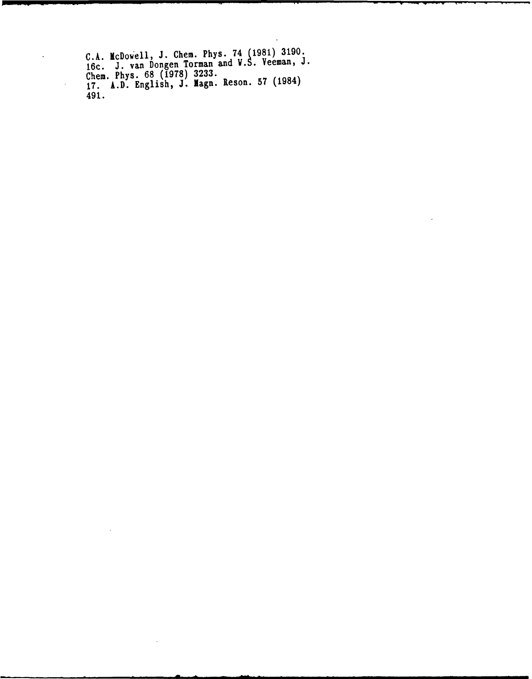**C.A.** IcDowell, **J.** Chemn. **Phys.** 74 **(1981) 3190.** 16c. **J.** van Dongen Torman and **V.S.** Veeman, **J.** Chem. Phys. **68 (197) 3233. 17. A.D.** English, **J.** Iagn. Reson. **57** (1984) 491.

 $\cdot$ 

 $\ddot{\phantom{0}}$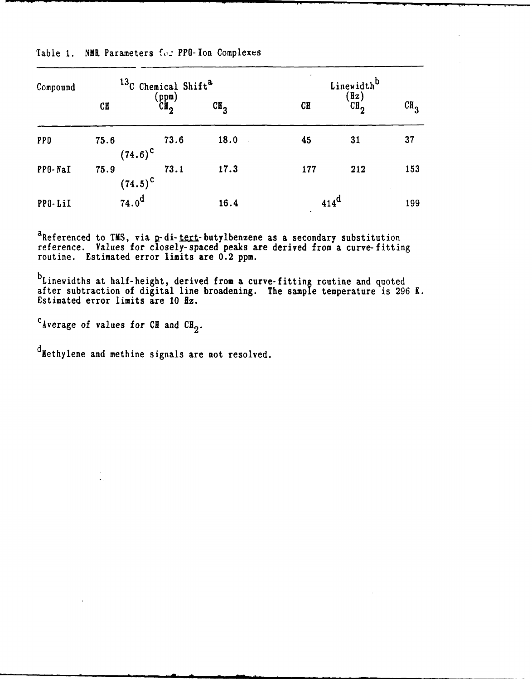| Compound   | <sup>13</sup> C Chemical Shift <sup>a</sup> |                          |                 | Linewidth <sup>b</sup> |                     |                 |
|------------|---------------------------------------------|--------------------------|-----------------|------------------------|---------------------|-----------------|
|            | C <sub>H</sub>                              | (ppm)<br>CH <sub>2</sub> | CH <sub>2</sub> | C <sub>H</sub>         | $\frac{f(z)}{f(z)}$ | CH <sub>2</sub> |
| <b>PPO</b> | 75.6                                        | 73.6<br>$(74.6)^{\circ}$ | 18.0            | 45                     | 31                  | 37              |
| PPO-NaI    | 75.9                                        | 73.1<br>$(74.5)^{\circ}$ | 17.3            | 177                    | 212                 | 153             |
| PPO-LiI    | $74.0^{\rm d}$                              |                          | 16.4            | $414^d$                |                     | 199             |

Table **1. NUB** Parameters **To:** PPO-Ion Complexes

aReferenced to **TNS,** via a-di-tert-butylbenzene as a secondary substitution reference. Values for closely-spaced peaks are derived from a curve-fitting routine. Estimated error limits are 0.2 ppm.

 $b_L$ inewidths at half-height, derived from a curve-fitting routing and quoted after subtraction of digital line broadening. The sample temperature is 296 K. Estimated error limits are **10** Hz.

cAverage of values for **CH** and **CH2.**

dMethylene and methine signals are not resolved.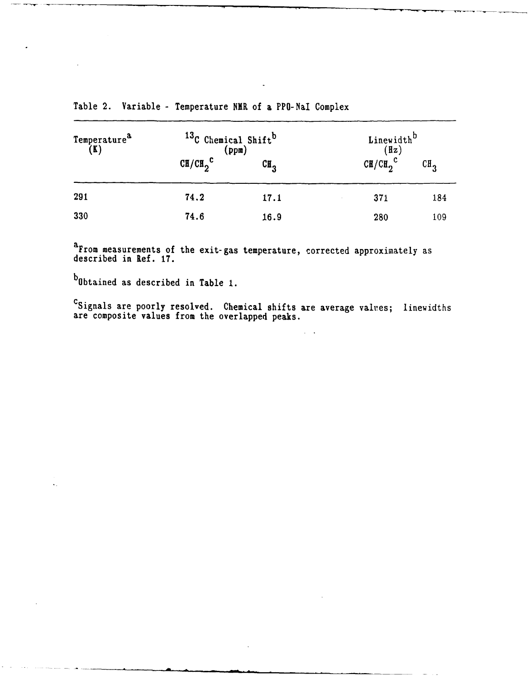| Temperature <sup>a</sup><br>(K) | <sup>13</sup> C Chemical Shift <sup>b</sup><br>(ppm) |                 | Linewidth <sup>D</sup><br>(Hz) |                 |
|---------------------------------|------------------------------------------------------|-----------------|--------------------------------|-----------------|
|                                 | $CH/CH_2^C$                                          | CH <sub>2</sub> | $CH/CH_2^C$                    | CH <sub>2</sub> |
| 291                             | 74.2                                                 | 17.1            | 371                            | 184             |
| 330                             | 74.6                                                 | 16.9            | 280                            | 109             |

Table 2. Variable **-** Temperature NXR of **a** PPO-NaI Complex

a From measurements of the exit-gas temperature, corrected approximately as described in Ref. **17.**

bObtained as described in Table **1.**

CSignals are poorly resolved. Chemical shifts are average values; linewidths are composite values from the overlapped peaks.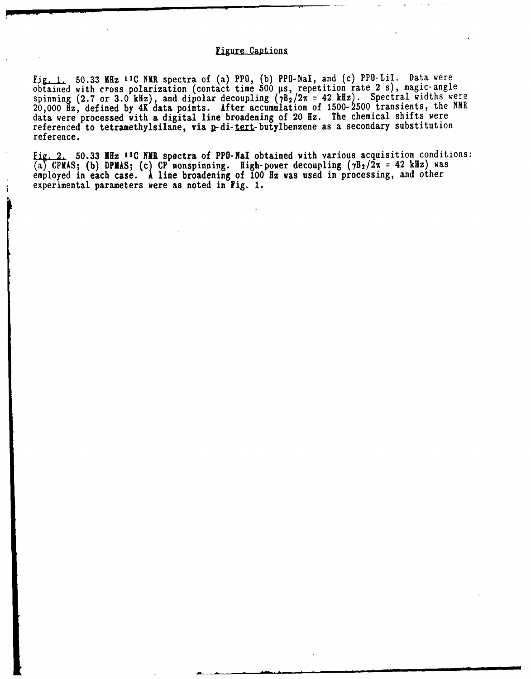## **Fiure Captions**

**[ig.\_.L 50.33** MHz **LIC** NIR spectra of (a) PPO, **(b)** PPO-NaI, and (c) PPO-LiI. Data were obtained with cross polarization (contact time **500** Vs, repetition rate 2 s), magic-angle spinning **(2.7** or **3.0** kHz), and dipolar decoupling **(TB2/2%** = 42 kHz). Spectral widths were 20,000 **Hz,** defined **by 4K** data points. After accumulation of **1500-2500** transients, the NMR data were processed with a digital line broadening of 20 Hz. The chemical shifts were referenced to tetramethylsilane, via p-di-tert-butylbenzene as a secondary substitution reference.

Fig. 2. 50.33 MHz <sup>13</sup>C NMR spectra of PPO-NaI obtained with various acquisition conditions: (a **CPIAS; (b) DPIAS; (c) CP** nonspinning. High-power decoupling (7B2/2x **=** 42 kHz) was employed in each case. **A** line broadening of **100 Hz** was used in processing, and other experimental parameters were as noted in Fig. **1.**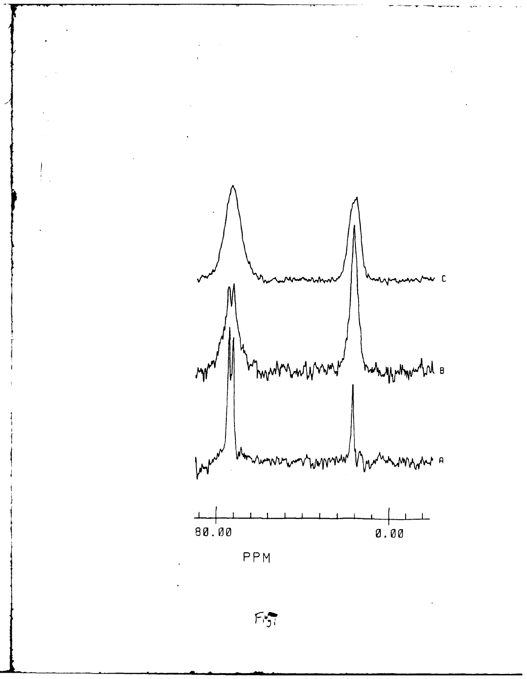

 $\ddot{\phantom{0}}$ 

**PPM**

 $\bar{z}$ 

 $\frac{1}{2}$ 

 $\ddot{\phantom{0}}$ 

 $F_{ij}$